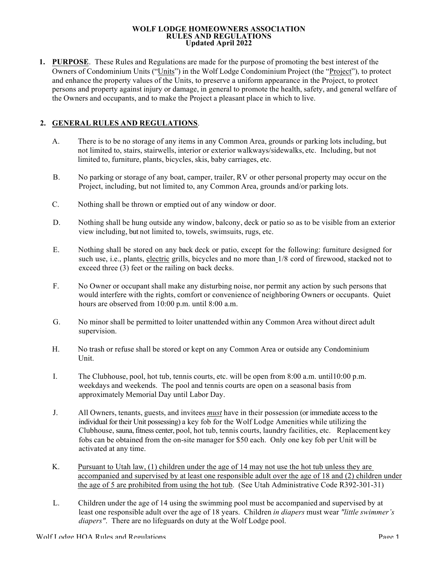#### **WOLF LODGE HOMEOWNERS ASSOCIATION RULES AND REGULATIONS Updated April 2022**

**1. PURPOSE**. These Rules and Regulations are made for the purpose of promoting the best interest of the Owners of Condominium Units ("Units") in the Wolf Lodge Condominium Project (the "Project"), to protect and enhance the property values of the Units, to preserve a uniform appearance in the Project, to protect persons and property against injury or damage, in general to promote the health, safety, and general welfare of the Owners and occupants, and to make the Project a pleasant place in which to live.

### **2. GENERAL RULES AND REGULATIONS**.

- A. There is to be no storage of any items in any Common Area, grounds or parking lots including, but not limited to, stairs, stairwells, interior or exterior walkways/sidewalks, etc. Including, but not limited to, furniture, plants, bicycles, skis, baby carriages, etc.
- B. No parking or storage of any boat, camper, trailer, RV or other personal property may occur on the Project, including, but not limited to, any Common Area, grounds and/or parking lots.
- C. Nothing shall be thrown or emptied out of any window or door.
- D. Nothing shall be hung outside any window, balcony, deck or patio so as to be visible from an exterior view including, but not limited to, towels, swimsuits, rugs, etc.
- E. Nothing shall be stored on any back deck or patio, except for the following: furniture designed for such use, i.e., plants, electric grills, bicycles and no more than 1/8 cord of firewood, stacked not to exceed three (3) feet or the railing on back decks.
- F. No Owner or occupant shall make any disturbing noise, nor permit any action by such persons that would interfere with the rights, comfort or convenience of neighboring Owners or occupants. Quiet hours are observed from 10:00 p.m. until 8:00 a.m.
- G. No minor shall be permitted to loiter unattended within any Common Area without direct adult supervision.
- H. No trash or refuse shall be stored or kept on any Common Area or outside any Condominium Unit.
- I. The Clubhouse, pool, hot tub, tennis courts, etc. will be open from 8:00 a.m. until10:00 p.m. weekdays and weekends. The pool and tennis courts are open on a seasonal basis from approximately Memorial Day until Labor Day.
- J. All Owners, tenants, guests, and invitees *must* have in their possession (or immediate access to the individual for their Unit possessing) a key fob for the Wolf Lodge Amenities while utilizing the Clubhouse, sauna, fitness center, pool, hot tub, tennis courts, laundry facilities, etc. Replacement key fobs can be obtained from the on-site manager for \$50 each. Only one key fob per Unit will be activated at any time.
- K. Pursuant to Utah law, (1) children under the age of 14 may not use the hot tub unless they are accompanied and supervised by at least one responsible adult over the age of 18 and (2) children under the age of 5 are prohibited from using the hot tub. (See Utah Administrative Code R392-301-31)
- L. Children under the age of 14 using the swimming pool must be accompanied and supervised by at least one responsible adult over the age of 18 years. Children *in diapers* must wear *"little swimmer's diapers"*. There are no lifeguards on duty at the Wolf Lodge pool.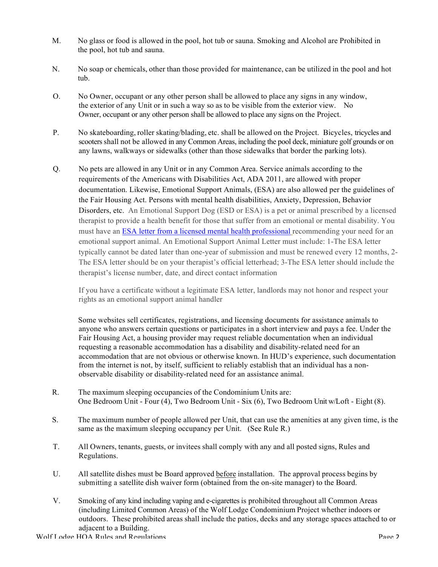- M. No glass or food is allowed in the pool, hot tub or sauna. Smoking and Alcohol are Prohibited in the pool, hot tub and sauna.
- N. No soap or chemicals, other than those provided for maintenance, can be utilized in the pool and hot tub.
- O. No Owner, occupant or any other person shall be allowed to place any signs in any window, the exterior of any Unit or in such a way so as to be visible from the exterior view. No Owner, occupant or any other person shall be allowed to place any signs on the Project.
- P. No skateboarding, roller skating/blading, etc. shall be allowed on the Project. Bicycles, tricycles and scooters shall not be allowed in any Common Areas, including the pool deck, miniature golf grounds or on any lawns, walkways or sidewalks (other than those sidewalks that border the parking lots).
- Q. No pets are allowed in any Unit or in any Common Area. Service animals according to the requirements of the Americans with Disabilities Act, ADA 2011, are allowed with proper documentation. Likewise, Emotional Support Animals, (ESA) are also allowed per the guidelines of the Fair Housing Act. Persons with mental health disabilities, Anxiety, Depression, Behavior Disorders, etc. An Emotional Support Dog (ESD or ESA) is a pet or animal prescribed by a licensed therapist to provide a health benefit for those that suffer from an emotional or mental disability. You must have an ESA letter from a licensed mental health professional recommending your need for an emotional support animal. An Emotional Support Animal Letter must include: 1-The ESA letter typically cannot be dated later than one-year of submission and must be renewed every 12 months, 2- The ESA letter should be on your therapist's official letterhead; 3-The ESA letter should include the therapist's license number, date, and direct contact information

If you have a certificate without a legitimate ESA letter, landlords may not honor and respect your rights as an emotional support animal handler

Some websites sell certificates, registrations, and licensing documents for assistance animals to anyone who answers certain questions or participates in a short interview and pays a fee. Under the Fair Housing Act, a housing provider may request reliable documentation when an individual requesting a reasonable accommodation has a disability and disability-related need for an accommodation that are not obvious or otherwise known. In HUD's experience, such documentation from the internet is not, by itself, sufficient to reliably establish that an individual has a nonobservable disability or disability-related need for an assistance animal.

- R. The maximum sleeping occupancies of the Condominium Units are: One Bedroom Unit - Four (4), Two Bedroom Unit - Six (6), Two Bedroom Unit w/Loft - Eight (8).
- S. The maximum number of people allowed per Unit, that can use the amenities at any given time, is the same as the maximum sleeping occupancy per Unit. (See Rule R.)
- T. All Owners, tenants, guests, or invitees shall comply with any and all posted signs, Rules and Regulations.
- U. All satellite dishes must be Board approved before installation. The approval process begins by submitting a satellite dish waiver form (obtained from the on-site manager) to the Board.
- V. Smoking of any kind including vaping and e-cigarettes is prohibited throughout all Common Areas (including Limited Common Areas) of the Wolf Lodge Condominium Project whether indoors or outdoors. These prohibited areas shall include the patios, decks and any storage spaces attached to or adjacent to a Building.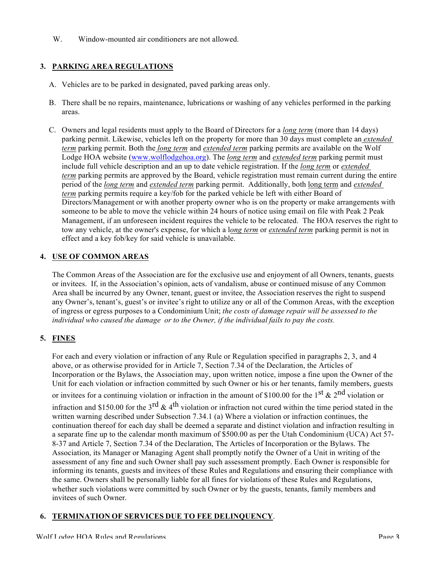W. Window-mounted air conditioners are not allowed.

## **3. PARKING AREA REGULATIONS**

- A. Vehicles are to be parked in designated, paved parking areas only.
- B. There shall be no repairs, maintenance, lubrications or washing of any vehicles performed in the parking areas.
- C. Owners and legal residents must apply to the Board of Directors for a *long term* (more than 14 days) parking permit. Likewise, vehicles left on the property for more than 30 days must complete an *extended term* parking permit. Both the *long term* and *extended term* parking permits are available on the Wolf Lodge HOA website (www.wolflodgehoa.org). The *long term* and *extended term* parking permit must include full vehicle description and an up to date vehicle registration. If the *long term* or *extended term* parking permits are approved by the Board, vehicle registration must remain current during the entire period of the *long term* and *extended term* parking permit. Additionally, both long term and *extended term* parking permits require a key/fob for the parked vehicle be left with either Board of Directors/Management or with another property owner who is on the property or make arrangements with someone to be able to move the vehicle within 24 hours of notice using email on file with Peak 2 Peak Management, if an unforeseen incident requires the vehicle to be relocated. The HOA reserves the right to tow any vehicle, at the owner's expense, for which a l*ong term* or *extended term* parking permit is not in effect and a key fob/key for said vehicle is unavailable.

#### **4. USE OF COMMON AREAS**

The Common Areas of the Association are for the exclusive use and enjoyment of all Owners, tenants, guests or invitees. If, in the Association's opinion, acts of vandalism, abuse or continued misuse of any Common Area shall be incurred by any Owner, tenant, guest or invitee, the Association reserves the right to suspend any Owner's, tenant's, guest's or invitee's right to utilize any or all of the Common Areas, with the exception of ingress or egress purposes to a Condominium Unit; *the costs of damage repair will be assessed to the individual who caused the damage or to the Owner, if the individual fails to pay the costs.*

# **5. FINES**

For each and every violation or infraction of any Rule or Regulation specified in paragraphs 2, 3, and 4 above, or as otherwise provided for in Article 7, Section 7.34 of the Declaration, the Articles of Incorporation or the Bylaws, the Association may, upon written notice, impose a fine upon the Owner of the Unit for each violation or infraction committed by such Owner or his or her tenants, family members, guests

or invitees for a continuing violation or infraction in the amount of \$100.00 for the 1<sup>st</sup> & 2<sup>nd</sup> violation or

infraction and \$150.00 for the 3<sup>rd</sup>  $\&$  4<sup>th</sup> violation or infraction not cured within the time period stated in the written warning described under Subsection 7.34.1 (a) Where a violation or infraction continues, the continuation thereof for each day shall be deemed a separate and distinct violation and infraction resulting in a separate fine up to the calendar month maximum of \$500.00 as per the Utah Condominium (UCA) Act 57- 8-37 and Article 7, Section 7.34 of the Declaration, The Articles of Incorporation or the Bylaws. The Association, its Manager or Managing Agent shall promptly notify the Owner of a Unit in writing of the assessment of any fine and such Owner shall pay such assessment promptly. Each Owner is responsible for informing its tenants, guests and invitees of these Rules and Regulations and ensuring their compliance with the same. Owners shall be personally liable for all fines for violations of these Rules and Regulations, whether such violations were committed by such Owner or by the guests, tenants, family members and invitees of such Owner.

#### **6. TERMINATION OF SERVICES DUE TO FEE DELINQUENCY**.